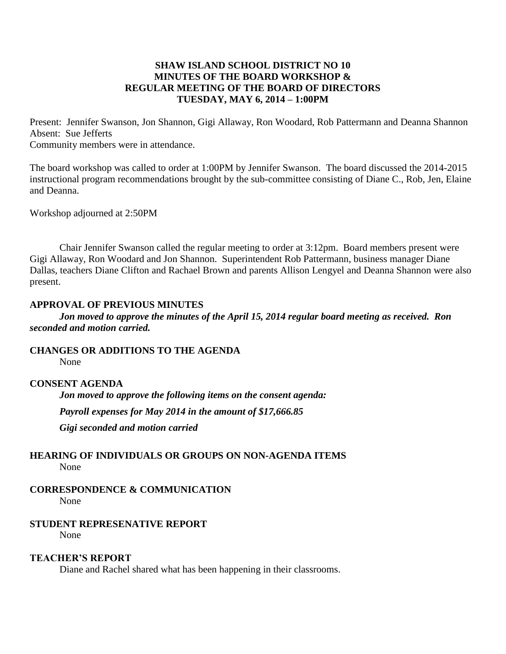## **SHAW ISLAND SCHOOL DISTRICT NO 10 MINUTES OF THE BOARD WORKSHOP & REGULAR MEETING OF THE BOARD OF DIRECTORS TUESDAY, MAY 6, 2014 – 1:00PM**

Present: Jennifer Swanson, Jon Shannon, Gigi Allaway, Ron Woodard, Rob Pattermann and Deanna Shannon Absent: Sue Jefferts Community members were in attendance.

The board workshop was called to order at 1:00PM by Jennifer Swanson. The board discussed the 2014-2015 instructional program recommendations brought by the sub-committee consisting of Diane C., Rob, Jen, Elaine and Deanna.

Workshop adjourned at 2:50PM

Chair Jennifer Swanson called the regular meeting to order at 3:12pm. Board members present were Gigi Allaway, Ron Woodard and Jon Shannon. Superintendent Rob Pattermann, business manager Diane Dallas, teachers Diane Clifton and Rachael Brown and parents Allison Lengyel and Deanna Shannon were also present.

#### **APPROVAL OF PREVIOUS MINUTES**

*Jon moved to approve the minutes of the April 15, 2014 regular board meeting as received. Ron seconded and motion carried.*

**CHANGES OR ADDITIONS TO THE AGENDA** None

## **CONSENT AGENDA**

*Jon moved to approve the following items on the consent agenda: Payroll expenses for May 2014 in the amount of \$17,666.85 Gigi seconded and motion carried*

## **HEARING OF INDIVIDUALS OR GROUPS ON NON-AGENDA ITEMS** None

# **CORRESPONDENCE & COMMUNICATION**

None

## **STUDENT REPRESENATIVE REPORT**

None

## **TEACHER'S REPORT**

Diane and Rachel shared what has been happening in their classrooms.